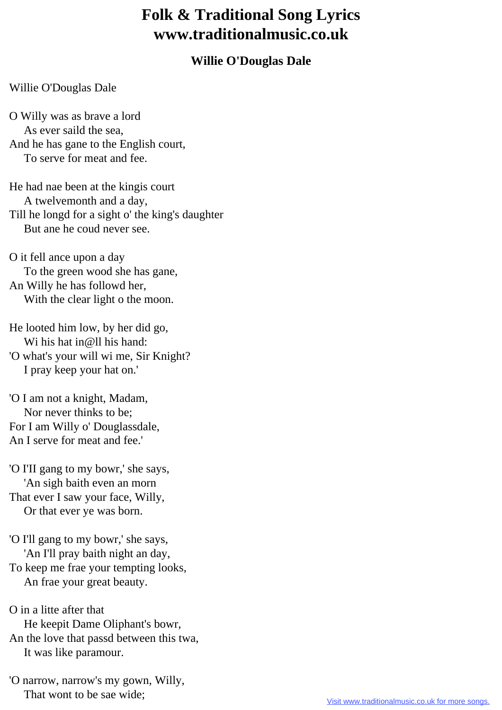## **Folk & Traditional Song Lyrics www.traditionalmusic.co.uk**

## **Willie O'Douglas Dale**

## Willie O'Douglas Dale

O Willy was as brave a lord As ever saild the sea, And he has gane to the English court, To serve for meat and fee.

He had nae been at the kingis court A twelvemonth and a day, Till he longd for a sight o' the king's daughter But ane he coud never see.

O it fell ance upon a day To the green wood she has gane, An Willy he has followd her, With the clear light o the moon.

He looted him low, by her did go, Wi his hat in@ll his hand: 'O what's your will wi me, Sir Knight? I pray keep your hat on.'

'O I am not a knight, Madam, Nor never thinks to be; For I am Willy o' Douglassdale, An I serve for meat and fee.'

'O I'II gang to my bowr,' she says, 'An sigh baith even an morn That ever I saw your face, Willy, Or that ever ye was born.

'O I'll gang to my bowr,' she says, 'An I'll pray baith night an day, To keep me frae your tempting looks, An frae your great beauty.

O in a litte after that He keepit Dame Oliphant's bowr, An the love that passd between this twa, It was like paramour.

'O narrow, narrow's my gown, Willy, That wont to be sae wide;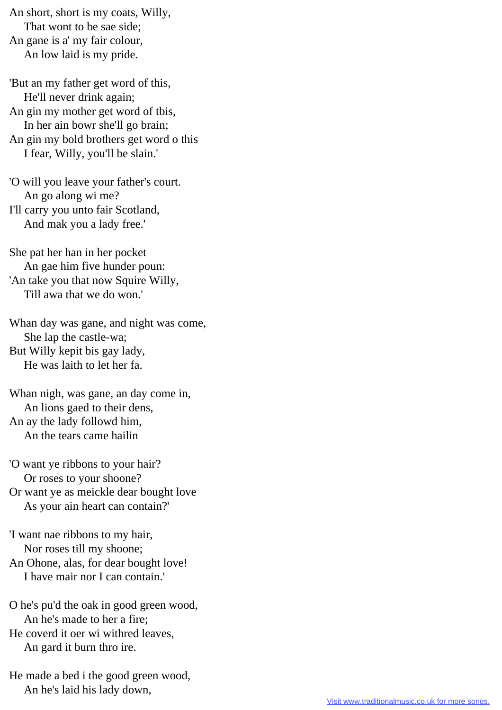An short, short is my coats, Willy, That wont to be sae side; An gane is a' my fair colour, An low laid is my pride.

'But an my father get word of this, He'll never drink again; An gin my mother get word of tbis, In her ain bowr she'll go brain; An gin my bold brothers get word o this I fear, Willy, you'll be slain.'

'O will you leave your father's court. An go along wi me? I'll carry you unto fair Scotland, And mak you a lady free.'

She pat her han in her pocket An gae him five hunder poun: 'An take you that now Squire Willy, Till awa that we do won.'

Whan day was gane, and night was come, She lap the castle-wa; But Willy kepit bis gay lady, He was laith to let her fa.

Whan nigh, was gane, an day come in, An lions gaed to their dens, An ay the lady followd him, An the tears came hailin

'O want ye ribbons to your hair? Or roses to your shoone? Or want ye as meickle dear bought love As your ain heart can contain?'

'I want nae ribbons to my hair, Nor roses till my shoone; An Ohone, alas, for dear bought love! I have mair nor I can contain.'

O he's pu'd the oak in good green wood, An he's made to her a fire; He coverd it oer wi withred leaves, An gard it burn thro ire.

He made a bed i the good green wood, An he's laid his lady down,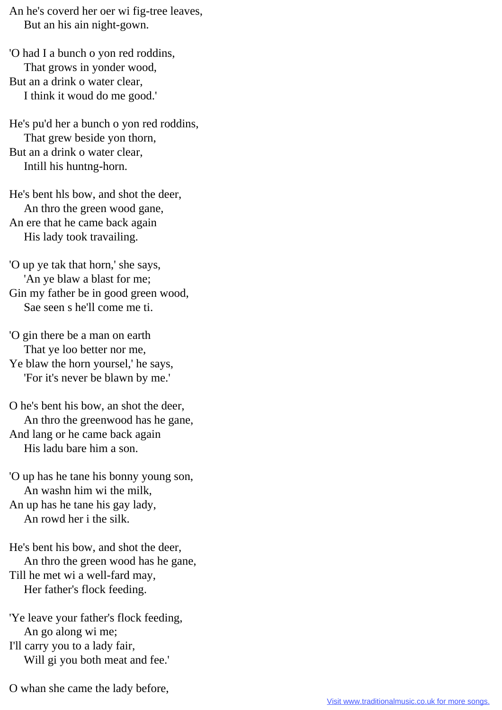An he's coverd her oer wi fig-tree leaves, But an his ain night-gown.

'O had I a bunch o yon red roddins, That grows in yonder wood, But an a drink o water clear, I think it woud do me good.'

He's pu'd her a bunch o yon red roddins, That grew beside yon thorn, But an a drink o water clear, Intill his huntng-horn.

He's bent hls bow, and shot the deer, An thro the green wood gane, An ere that he came back again His lady took travailing.

'O up ye tak that horn,' she says, 'An ye blaw a blast for me; Gin my father be in good green wood, Sae seen s he'll come me ti.

'O gin there be a man on earth That ye loo better nor me, Ye blaw the horn yoursel,' he says, 'For it's never be blawn by me.'

O he's bent his bow, an shot the deer, An thro the greenwood has he gane, And lang or he came back again His ladu bare him a son.

'O up has he tane his bonny young son, An washn him wi the milk, An up has he tane his gay lady, An rowd her i the silk.

He's bent his bow, and shot the deer, An thro the green wood has he gane, Till he met wi a well-fard may, Her father's flock feeding.

'Ye leave your father's flock feeding, An go along wi me; I'll carry you to a lady fair,

Will gi you both meat and fee.'

O whan she came the lady before,